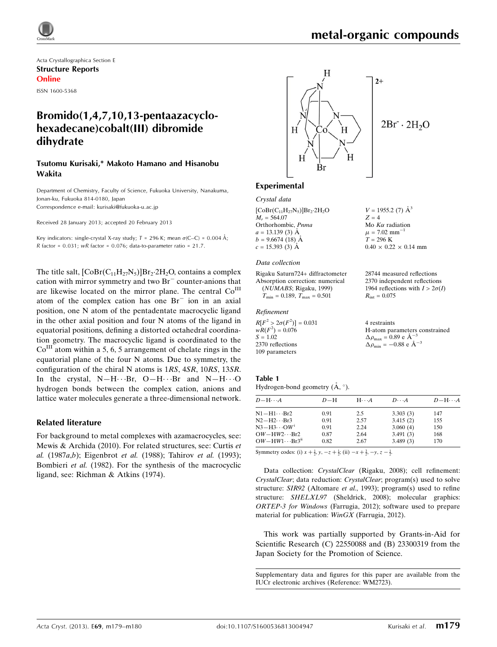

Acta Crystallographica Section E Structure Reports Online

ISSN 1600-5368

## Bromido(1,4,7,10,13-pentaazacyclohexadecane)cobalt(III) dibromide dihydrate

#### Tsutomu Kurisaki,\* Makoto Hamano and Hisanobu Wakita

Department of Chemistry, Faculty of Science, Fukuoka University, Nanakuma, Jonan-ku, Fukuoka 814-0180, Japan Correspondence e-mail: [kurisaki@fukuoka-u.ac.jp](https://scripts.iucr.org/cgi-bin/cr.cgi?rm=pdfbb&cnor=wm2723&bbid=BB12)

Received 28 January 2013; accepted 20 February 2013

Key indicators: single-crystal X-ray study;  $T = 296$  K; mean  $\sigma$ (C–C) = 0.004 Å; R factor =  $0.031$ ; wR factor =  $0.076$ ; data-to-parameter ratio =  $21.7$ .

The title salt,  $[CoBr(C_{11}H_{27}N_5)]Br_2.2H_2O$ , contains a complex cation with mirror symmetry and two  $Br^-$  counter-anions that are likewise located on the mirror plane. The central Co<sup>III</sup> atom of the complex cation has one  $Br^-$  ion in an axial position, one N atom of the pentadentate macrocyclic ligand in the other axial position and four N atoms of the ligand in equatorial positions, defining a distorted octahedral coordination geometry. The macrocyclic ligand is coordinated to the  $Co<sup>III</sup>$  atom within a 5, 6, 5 arrangement of chelate rings in the equatorial plane of the four N atoms. Due to symmetry, the configuration of the chiral N atoms is 1RS, 4SR, 10RS, 13SR. In the crystal,  $N-H\cdots Br$ ,  $O-H\cdots Br$  and  $N-H\cdots O$ hydrogen bonds between the complex cation, anions and lattice water molecules generate a three-dimensional network.

#### Related literature

For background to metal complexes with azamacrocycles, see: Mewis & Archida (2010). For related structures, see: Curtis et al. (1987a,b); Eigenbrot et al. (1988); Tahirov et al. (1993); Bombieri et al. (1982). For the synthesis of the macrocyclic ligand, see: Richman & Atkins (1974).



#### Experimental

#### Crystal data

 $[CoBr(C_{11}H_{27}N_5)]Br_2.2H_2O$  $M_r = 564.07$ Orthorhombic, Pnma  $a = 13.139(3)$  Å  $b = 9.6674(18)$  Å  $c = 15.393$  (3) A

#### Data collection

Rigaku Saturn724+ diffractometer Absorption correction: numerical (NUMABS; Rigaku, 1999)  $T_{\rm min} = 0.189,\ T_{\rm max} = 0.501$ 

#### Refinement

 $R[F^2 > 2\sigma(F^2)] = 0.031$  $wR(F^2) = 0.076$  $S = 1.02$ 2370 reflections 109 parameters

| Mo $K\alpha$ radiation            |
|-----------------------------------|
| $\mu = 7.02$ mm <sup>-1</sup>     |
| $T = 296$ K                       |
| $0.40 \times 0.22 \times 0.14$ mm |
|                                   |

 $V = 1955.2$  (7)  $\AA^3$ 

 $Z = 4$ 

28744 measured reflections 2370 independent reflections 1964 reflections with  $I > 2\sigma(I)$  $R_{\text{int}} = 0.075$ 

4 restraints H-atom parameters constrained  $\Delta \rho_{\text{max}} = 0.89 \text{ e A}^{-3}$  $\Delta \rho_{\text{min}} = -0.88 \text{ e A}^{-3}$ 

#### Table 1 Hydrogen-bond geometry  $(A, \circ)$ .

| $D - H \cdots A$                                                                                                                                                                                                                                                                                                  | $D-H$ | $H \cdot \cdot \cdot A$ | $D\cdot\cdot\cdot A$ | $D - H \cdots A$ |
|-------------------------------------------------------------------------------------------------------------------------------------------------------------------------------------------------------------------------------------------------------------------------------------------------------------------|-------|-------------------------|----------------------|------------------|
| N1−H1…Br2                                                                                                                                                                                                                                                                                                         | 0.91  | 2.5                     | 3.303(3)             | 147              |
| $N2-H2\cdots Br3$                                                                                                                                                                                                                                                                                                 | 0.91  | 2.57                    | 3.415(2)             | 155              |
| $N3 - H3 \cdots QW^1$                                                                                                                                                                                                                                                                                             | 0.91  | 2.24                    | 3.060(4)             | 150              |
| $OW-HW2\cdots Br2$                                                                                                                                                                                                                                                                                                | 0.87  | 2.64                    | 3.491(3)             | 168              |
| $OW-HW1\cdots Br3ii$                                                                                                                                                                                                                                                                                              | 0.82  | 2.67                    | 3.489(3)             | 170              |
| $\mathcal{C}$ and $\mathcal{C}$ and $\mathcal{C}$ and $\mathcal{C}$ and $\mathcal{C}$ and $\mathcal{C}$ and $\mathcal{C}$ and $\mathcal{C}$ and $\mathcal{C}$ and $\mathcal{C}$ and $\mathcal{C}$ and $\mathcal{C}$ and $\mathcal{C}$ and $\mathcal{C}$ and $\mathcal{C}$ and $\mathcal{C}$ and $\mathcal{C}$ and |       |                         |                      |                  |

Symmetry codes: (i)  $x + \frac{1}{2}$ ,  $y, -z + \frac{1}{2}$ ; (ii)  $-x + \frac{3}{2}$ ,  $-y, z - \frac{1}{2}$ .

Data collection: CrystalClear (Rigaku, 2008); cell refinement: CrystalClear; data reduction: CrystalClear; program(s) used to solve structure: SIR92 (Altomare *et al.*, 1993); program(s) used to refine structure: SHELXL97 (Sheldrick, 2008); molecular graphics: ORTEP-3 for Windows (Farrugia, 2012); software used to prepare material for publication: WinGX (Farrugia, 2012).

This work was partially supported by Grants-in-Aid for Scientific Research (C) 22550088 and (B) 23300319 from the Japan Society for the Promotion of Science.

Supplementary data and figures for this paper are available from the IUCr electronic archives (Reference: WM2723).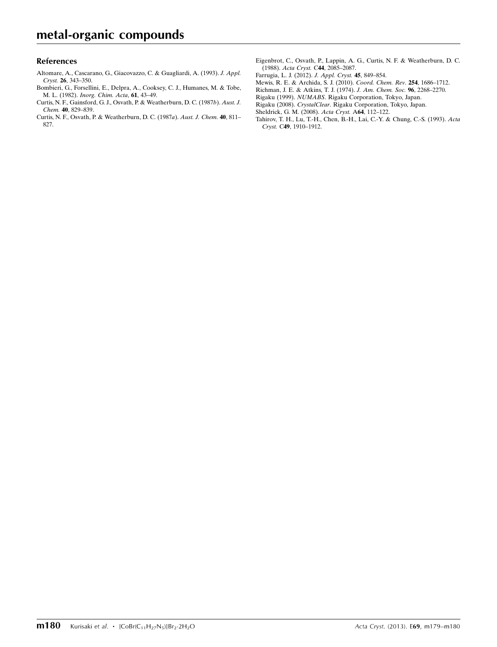#### References

- [Altomare, A., Cascarano, G., Giacovazzo, C. & Guagliardi, A. \(1993\).](https://scripts.iucr.org/cgi-bin/cr.cgi?rm=pdfbb&cnor=wm2723&bbid=BB1) J. Appl. Cryst. 26[, 343–350.](https://scripts.iucr.org/cgi-bin/cr.cgi?rm=pdfbb&cnor=wm2723&bbid=BB1)
- [Bombieri, G., Forsellini, E., Delpra, A., Cooksey, C. J., Humanes, M. & Tobe,](https://scripts.iucr.org/cgi-bin/cr.cgi?rm=pdfbb&cnor=wm2723&bbid=BB2) M. L. (1982). [Inorg. Chim. Acta](https://scripts.iucr.org/cgi-bin/cr.cgi?rm=pdfbb&cnor=wm2723&bbid=BB2), 61, 43–49.
- [Curtis, N. F., Gainsford, G. J., Osvath, P. & Weatherburn, D. C. \(1987](https://scripts.iucr.org/cgi-bin/cr.cgi?rm=pdfbb&cnor=wm2723&bbid=BB3)b). Aust. J. Chem. 40[, 829–839.](https://scripts.iucr.org/cgi-bin/cr.cgi?rm=pdfbb&cnor=wm2723&bbid=BB3)
- [Curtis, N. F., Osvath, P. & Weatherburn, D. C. \(1987](https://scripts.iucr.org/cgi-bin/cr.cgi?rm=pdfbb&cnor=wm2723&bbid=BB4)a). Aust. J. Chem. 40, 811– [827.](https://scripts.iucr.org/cgi-bin/cr.cgi?rm=pdfbb&cnor=wm2723&bbid=BB4)
- [Eigenbrot, C., Osvath, P., Lappin, A. G., Curtis, N. F. & Weatherburn, D. C.](https://scripts.iucr.org/cgi-bin/cr.cgi?rm=pdfbb&cnor=wm2723&bbid=BB5) (1988). Acta Cryst. C44[, 2085–2087.](https://scripts.iucr.org/cgi-bin/cr.cgi?rm=pdfbb&cnor=wm2723&bbid=BB5)
- [Farrugia, L. J. \(2012\).](https://scripts.iucr.org/cgi-bin/cr.cgi?rm=pdfbb&cnor=wm2723&bbid=BB6) J. Appl. Cryst. 45, 849–854.
- [Mewis, R. E. & Archida, S. J. \(2010\).](https://scripts.iucr.org/cgi-bin/cr.cgi?rm=pdfbb&cnor=wm2723&bbid=BB7) Coord. Chem. Rev. 254, 1686–1712.
- [Richman, J. E. & Atkins, T. J. \(1974\).](https://scripts.iucr.org/cgi-bin/cr.cgi?rm=pdfbb&cnor=wm2723&bbid=BB8) J. Am. Chem. Soc. 96, 2268–2270.
- Rigaku (1999). NUMABS[. Rigaku Corporation, Tokyo, Japan.](https://scripts.iucr.org/cgi-bin/cr.cgi?rm=pdfbb&cnor=wm2723&bbid=BB9)
- Rigaku (2008). CrystalClear[. Rigaku Corporation, Tokyo, Japan.](https://scripts.iucr.org/cgi-bin/cr.cgi?rm=pdfbb&cnor=wm2723&bbid=BB10)
- [Sheldrick, G. M. \(2008\).](https://scripts.iucr.org/cgi-bin/cr.cgi?rm=pdfbb&cnor=wm2723&bbid=BB11) Acta Cryst. A64, 112–122.
- [Tahirov, T. H., Lu, T.-H., Chen, B.-H., Lai, C.-Y. & Chung, C.-S. \(1993\).](https://scripts.iucr.org/cgi-bin/cr.cgi?rm=pdfbb&cnor=wm2723&bbid=BB12) Acta Cryst. C49[, 1910–1912.](https://scripts.iucr.org/cgi-bin/cr.cgi?rm=pdfbb&cnor=wm2723&bbid=BB12)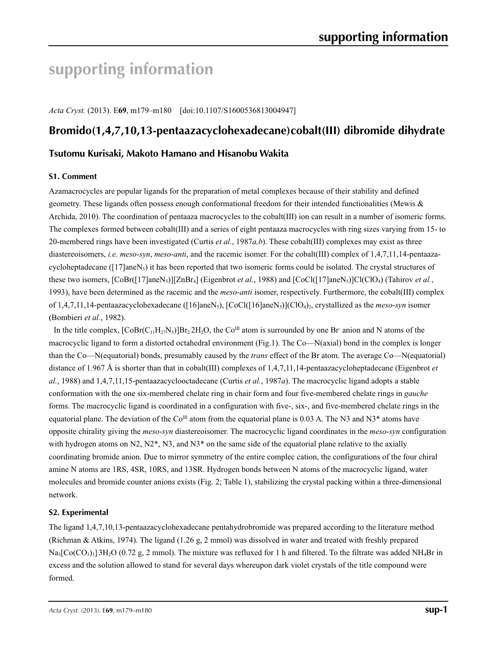# **supporting information**

*Acta Cryst.* (2013). E**69**, m179–m180 [doi:10.1107/S1600536813004947]

# **Bromido(1,4,7,10,13-pentaazacyclohexadecane)cobalt(III) dibromide dihydrate**

### **Tsutomu Kurisaki, Makoto Hamano and Hisanobu Wakita**

#### **S1. Comment**

Azamacrocycles are popular ligands for the preparation of metal complexes because of their stability and defined geometry. These ligands often possess enough conformational freedom for their intended functionalities (Mewis & Archida, 2010). The coordination of pentaaza macrocycles to the cobalt(III) ion can result in a number of isomeric forms. The complexes formed between  $\text{cobalt(III)}$  and a series of eight pentaaza macrocycles with ring sizes varying from 15- to 20-membered rings have been investigated (Curtis *et al.*, 1987*a,b*). These cobalt(III) complexes may exist as three diastereoisomers, *i.e. meso*-*syn*, *meso*-*anti*, and the racemic isomer. For the cobalt(III) complex of 1,4,7,11,14-pentaazacycloheptadecane ( $[17]$ aneN<sub>5</sub>) it has been reported that two isomeric forms could be isolated. The crystal structures of these two isomers,  $[CoBr([17]aneN<sub>5</sub>)][ZnBr<sub>4</sub>]$  (Eigenbrot *et al.*, 1988) and  $[CoCl([17]aneN<sub>5</sub>)]Cl(ClO<sub>4</sub>)$  (Tahirov *et al.*, 1993), have been determined as the racemic and the *meso*-*anti* isomer, respectively. Furthermore, the cobalt(III) complex of 1,4,7,11,14-pentaazacyclohexadecane ([16]aneN5), [CoCl([16]aneN5)](ClO4)2, crystallized as the *meso*-*syn* isomer (Bombieri *et al.*, 1982).

In the title complex,  $[CoBr(C<sub>11</sub>H<sub>27</sub>N<sub>5</sub>)]Br<sub>2</sub>2H<sub>2</sub>O$ , the Co<sup>III</sup> atom is surrounded by one Br-anion and N atoms of the macrocyclic ligand to form a distorted octahedral environment (Fig.1). The Co—N(axial) bond in the complex is longer than the Co—N(equatorial) bonds, presumably caused by the *trans* effect of the Br atom. The average Co—N(equatorial) distance of 1.967 Å is shorter than that in cobalt(III) complexes of 1,4,7,11,14-pentaazacycloheptadecane (Eigenbrot *et al.*, 1988) and 1,4,7,11,15-pentaazacyclooctadecane (Curtis *et al.*, 1987*a*). The macrocyclic ligand adopts a stable conformation with the one six-membered chelate ring in chair form and four five-membered chelate rings in *gauche* forms. The macrocyclic ligand is coordinated in a configuration with five-, six-, and five-membered chelate rings in the equatorial plane. The deviation of the Co<sup>III</sup> atom from the equatorial plane is 0.03 A. The N3 and N3<sup>\*</sup> atoms have opposite chirality giving the *meso*-*syn* diastereoisomer. The macrocyclic ligand coordinates in the *meso*-*syn* configuration with hydrogen atoms on N2,  $N2^*$ , N3, and N3<sup>\*</sup> on the same side of the equatorial plane relative to the axially coordinating bromide anion. Due to mirror symmetry of the entire complec cation, the configurations of the four chiral amine N atoms are 1RS, 4SR, 10RS, and 13SR. Hydrogen bonds between N atoms of the macrocyclic ligand, water molecules and bromide counter anions exists (Fig. 2; Table 1), stabilizing the crystal packing within a three-dimensional network.

#### **S2. Experimental**

The ligand 1,4,7,10,13-pentaazacyclohexadecane pentahydrobromide was prepared according to the literature method (Richman & Atkins, 1974). The ligand (1.26 g, 2 mmol) was dissolved in water and treated with freshly prepared  $Na_3[Co(CO_3)_3]$  3H<sub>2</sub>O (0.72 g, 2 mmol). The mixture was refluxed for 1 h and filtered. To the filtrate was added NH<sub>4</sub>Br in excess and the solution allowed to stand for several days whereupon dark violet crystals of the title compound were formed.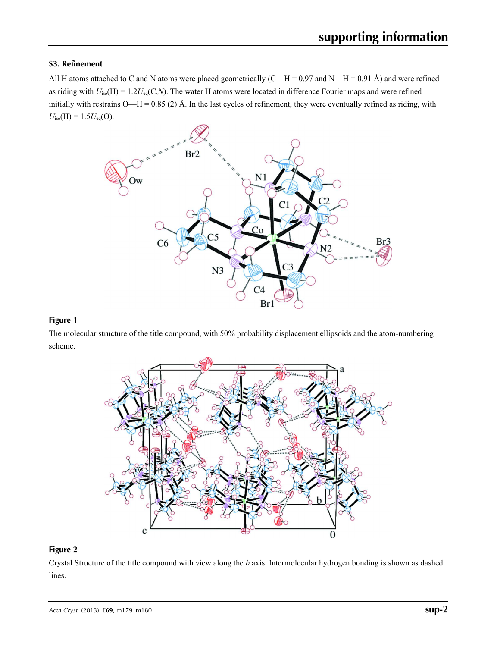### **S3. Refinement**

All H atoms attached to C and N atoms were placed geometrically (C—H = 0.97 and N—H = 0.91 Å) and were refined as riding with  $U_{iso}(H) = 1.2U_{eq}(C,N)$ . The water H atoms were located in difference Fourier maps and were refined initially with restrains O—H = 0.85 (2) Å. In the last cycles of refinement, they were eventually refined as riding, with  $U_{\text{iso}}(H) = 1.5U_{\text{eq}}(O).$ 



#### **Figure 1**

The molecular structure of the title compound, with 50% probability displacement ellipsoids and the atom-numbering scheme.



#### **Figure 2**

Crystal Structure of the title compound with view along the *b* axis. Intermolecular hydrogen bonding is shown as dashed lines.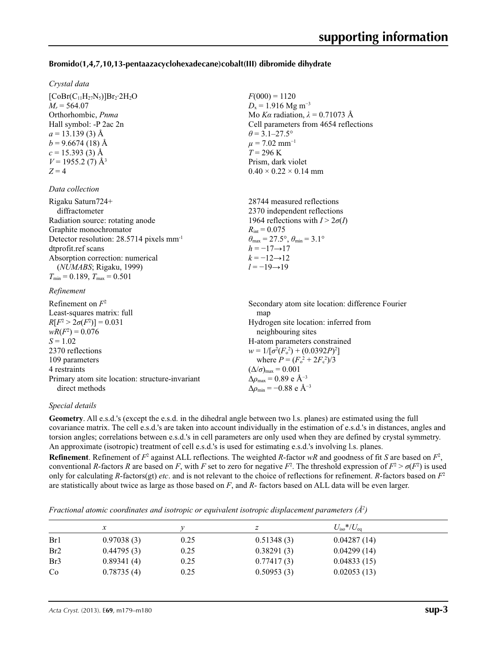#### **Bromido(1,4,7,10,13-pentaazacyclohexadecane)cobalt(III) dibromide dihydrate**

 $F(000) = 1120$  $D_x = 1.916$  Mg m<sup>-3</sup>

 $\theta$  = 3.1–27.5°  $\mu$  = 7.02 mm<sup>-1</sup>  $T = 296 \text{ K}$ Prism, dark violet  $0.40 \times 0.22 \times 0.14$  mm

Mo *Kα* radiation, *λ* = 0.71073 Å Cell parameters from 4654 reflections

#### *Crystal data*

 $[CoBr(C_{11}H_{27}N_5)]Br_2.2H_2O$  $M_r = 564.07$ Orthorhombic, *Pnma* Hall symbol: -P 2ac 2n  $a = 13.139(3)$  Å  $b = 9.6674(18)$  Å  $c = 15.393(3)$  Å  $V = 1955.2$  (7) Å<sup>3</sup>  $Z = 4$ 

#### *Data collection*

| Rigaku Saturn724+                                    | 28744 measured reflections                                              |
|------------------------------------------------------|-------------------------------------------------------------------------|
| diffractometer                                       | 2370 independent reflections                                            |
| Radiation source: rotating anode                     | 1964 reflections with $I > 2\sigma(I)$                                  |
| Graphite monochromator                               | $R_{\text{int}} = 0.075$                                                |
| Detector resolution: 28.5714 pixels mm <sup>-1</sup> | $\theta_{\text{max}} = 27.5^{\circ}, \theta_{\text{min}} = 3.1^{\circ}$ |
| dtprofit.ref scans                                   | $h = -17 \rightarrow 17$                                                |
| Absorption correction: numerical                     | $k = -12 \rightarrow 12$                                                |
| (NUMABS; Rigaku, 1999)                               | $l = -19 \rightarrow 19$                                                |
| $T_{\text{min}} = 0.189$ , $T_{\text{max}} = 0.501$  |                                                                         |
|                                                      |                                                                         |

#### *Refinement*

| Refinement on $F^2$<br>Least-squares matrix: full | Secondary atom site location: difference Fourier<br>map |
|---------------------------------------------------|---------------------------------------------------------|
| $R[F^2 > 2\sigma(F^2)] = 0.031$                   | Hydrogen site location: inferred from                   |
| $wR(F^2) = 0.076$                                 | neighbouring sites                                      |
| $S = 1.02$                                        | H-atom parameters constrained                           |
| 2370 reflections                                  | $w = 1/[\sigma^2(F_0^2) + (0.0392P)^2]$                 |
| 109 parameters                                    | where $P = (F_o^2 + 2F_c^2)/3$                          |
| 4 restraints                                      | $(\Delta/\sigma)_{\text{max}} = 0.001$                  |
| Primary atom site location: structure-invariant   | $\Delta\rho_{\text{max}}$ = 0.89 e Å <sup>-3</sup>      |
| direct methods                                    | $\Delta\rho_{\rm min} = -0.88 \text{ e A}^{-3}$         |

#### *Special details*

**Geometry**. All e.s.d.'s (except the e.s.d. in the dihedral angle between two l.s. planes) are estimated using the full covariance matrix. The cell e.s.d.'s are taken into account individually in the estimation of e.s.d.'s in distances, angles and torsion angles; correlations between e.s.d.'s in cell parameters are only used when they are defined by crystal symmetry. An approximate (isotropic) treatment of cell e.s.d.'s is used for estimating e.s.d.'s involving l.s. planes.

**Refinement**. Refinement of  $F^2$  against ALL reflections. The weighted *R*-factor  $wR$  and goodness of fit *S* are based on  $F^2$ , conventional *R*-factors *R* are based on *F*, with *F* set to zero for negative  $F^2$ . The threshold expression of  $F^2 > \sigma(F^2)$  is used only for calculating *R*-factors(gt) *etc*. and is not relevant to the choice of reflections for refinement. *R*-factors based on *F*<sup>2</sup> are statistically about twice as large as those based on *F*, and *R*- factors based on ALL data will be even larger.

*Fractional atomic coordinates and isotropic or equivalent isotropic displacement parameters (Å<sup>2</sup>)* 

| x          |      |            | $U_{\rm iso} * / U_{\rm eq}$ |  |
|------------|------|------------|------------------------------|--|
| 0.97038(3) | 0.25 | 0.51348(3) | 0.04287(14)                  |  |
| 0.44795(3) | 0.25 | 0.38291(3) | 0.04299(14)                  |  |
| 0.89341(4) | 0.25 | 0.77417(3) | 0.04833(15)                  |  |
| 0.78735(4) | 0.25 | 0.50953(3) | 0.02053(13)                  |  |
|            |      |            |                              |  |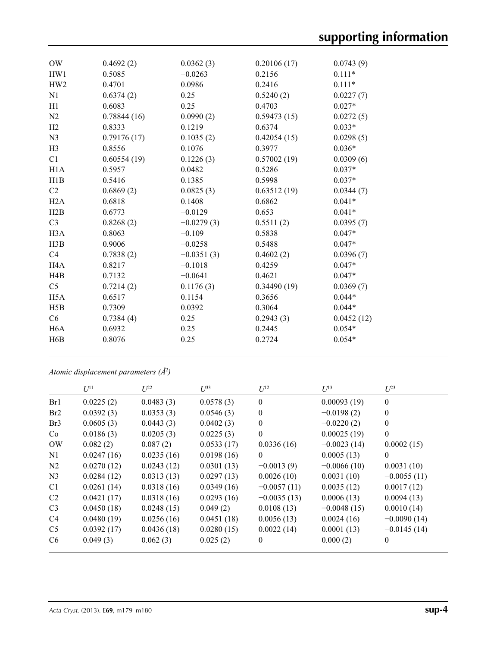| <b>OW</b>        | 0.4692(2)   | 0.0362(3)    | 0.20106(17) | 0.0743(9)  |
|------------------|-------------|--------------|-------------|------------|
| HW1              | 0.5085      | $-0.0263$    | 0.2156      | $0.111*$   |
| HW <sub>2</sub>  | 0.4701      | 0.0986       | 0.2416      | $0.111*$   |
| N1               | 0.6374(2)   | 0.25         | 0.5240(2)   | 0.0227(7)  |
| H1               | 0.6083      | 0.25         | 0.4703      | $0.027*$   |
| N2               | 0.78844(16) | 0.0990(2)    | 0.59473(15) | 0.0272(5)  |
| H2               | 0.8333      | 0.1219       | 0.6374      | $0.033*$   |
| N <sub>3</sub>   | 0.79176(17) | 0.1035(2)    | 0.42054(15) | 0.0298(5)  |
| H <sub>3</sub>   | 0.8556      | 0.1076       | 0.3977      | $0.036*$   |
| C1               | 0.60554(19) | 0.1226(3)    | 0.57002(19) | 0.0309(6)  |
| H <sub>1</sub> A | 0.5957      | 0.0482       | 0.5286      | $0.037*$   |
| H1B              | 0.5416      | 0.1385       | 0.5998      | $0.037*$   |
| C2               | 0.6869(2)   | 0.0825(3)    | 0.63512(19) | 0.0344(7)  |
| H2A              | 0.6818      | 0.1408       | 0.6862      | $0.041*$   |
| H2B              | 0.6773      | $-0.0129$    | 0.653       | $0.041*$   |
| C <sub>3</sub>   | 0.8268(2)   | $-0.0279(3)$ | 0.5511(2)   | 0.0395(7)  |
| H <sub>3</sub> A | 0.8063      | $-0.109$     | 0.5838      | $0.047*$   |
| H3B              | 0.9006      | $-0.0258$    | 0.5488      | $0.047*$   |
| C4               | 0.7838(2)   | $-0.0351(3)$ | 0.4602(2)   | 0.0396(7)  |
| H <sub>4</sub> A | 0.8217      | $-0.1018$    | 0.4259      | $0.047*$   |
| H4B              | 0.7132      | $-0.0641$    | 0.4621      | $0.047*$   |
| C <sub>5</sub>   | 0.7214(2)   | 0.1176(3)    | 0.34490(19) | 0.0369(7)  |
| H <sub>5</sub> A | 0.6517      | 0.1154       | 0.3656      | $0.044*$   |
| H5B              | 0.7309      | 0.0392       | 0.3064      | $0.044*$   |
| C6               | 0.7384(4)   | 0.25         | 0.2943(3)   | 0.0452(12) |
| H <sub>6</sub> A | 0.6932      | 0.25         | 0.2445      | $0.054*$   |
| H <sub>6</sub> B | 0.8076      | 0.25         | 0.2724      | $0.054*$   |
|                  |             |              |             |            |

*Atomic displacement parameters (Å2 )*

|                 | $U^{11}$   | $L^{22}$   | $\mathcal{L}^{\beta 3}$ | $U^{12}$      | $U^{13}$      | $L^{23}$      |
|-----------------|------------|------------|-------------------------|---------------|---------------|---------------|
| Br1             | 0.0225(2)  | 0.0483(3)  | 0.0578(3)               | $\mathbf{0}$  | 0.00093(19)   | $\mathbf{0}$  |
| Br <sub>2</sub> | 0.0392(3)  | 0.0353(3)  | 0.0546(3)               | $\mathbf{0}$  | $-0.0198(2)$  | $\mathbf{0}$  |
| Br <sub>3</sub> | 0.0605(3)  | 0.0443(3)  | 0.0402(3)               | $\theta$      | $-0.0220(2)$  | $\theta$      |
| Co.             | 0.0186(3)  | 0.0205(3)  | 0.0225(3)               | $\mathbf{0}$  | 0.00025(19)   | $\mathbf{0}$  |
| <b>OW</b>       | 0.082(2)   | 0.087(2)   | 0.0533(17)              | 0.0336(16)    | $-0.0023(14)$ | 0.0002(15)    |
| N1              | 0.0247(16) | 0.0235(16) | 0.0198(16)              | $\theta$      | 0.0005(13)    | $\theta$      |
| N2              | 0.0270(12) | 0.0243(12) | 0.0301(13)              | $-0.0013(9)$  | $-0.0066(10)$ | 0.0031(10)    |
| N <sub>3</sub>  | 0.0284(12) | 0.0313(13) | 0.0297(13)              | 0.0026(10)    | 0.0031(10)    | $-0.0055(11)$ |
| C <sub>1</sub>  | 0.0261(14) | 0.0318(16) | 0.0349(16)              | $-0.0057(11)$ | 0.0035(12)    | 0.0017(12)    |
| C <sub>2</sub>  | 0.0421(17) | 0.0318(16) | 0.0293(16)              | $-0.0035(13)$ | 0.0006(13)    | 0.0094(13)    |
| C <sub>3</sub>  | 0.0450(18) | 0.0248(15) | 0.049(2)                | 0.0108(13)    | $-0.0048(15)$ | 0.0010(14)    |
| C <sub>4</sub>  | 0.0480(19) | 0.0256(16) | 0.0451(18)              | 0.0056(13)    | 0.0024(16)    | $-0.0090(14)$ |
| C <sub>5</sub>  | 0.0392(17) | 0.0436(18) | 0.0280(15)              | 0.0022(14)    | 0.0001(13)    | $-0.0145(14)$ |
| C <sub>6</sub>  | 0.049(3)   | 0.062(3)   | 0.025(2)                | $\theta$      | 0.000(2)      | 0             |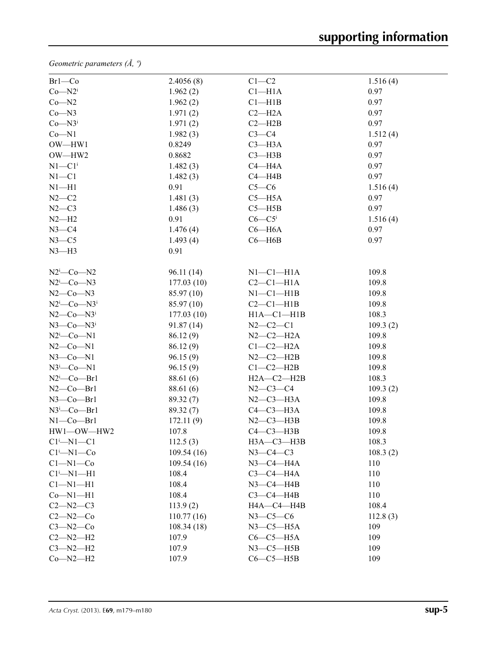*Geometric parameters (Å, º)*

| $Br1$ —Co                       | 2.4056(8)  | $C1-C2$             | 1.516(4) |
|---------------------------------|------------|---------------------|----------|
| $Co- N2i$                       | 1.962(2)   | Cl <sub>–H1A</sub>  | 0.97     |
| $Co - N2$                       | 1.962(2)   | Cl—H1B              | 0.97     |
| $Co-N3$                         | 1.971(2)   | $C2 - H2A$          | 0.97     |
| $Co- N3i$                       | 1.971(2)   | $C2 - H2B$          | 0.97     |
| $Co-N1$                         | 1.982(3)   | $C3-C4$             | 1.512(4) |
| OW-HW1                          | 0.8249     | $C3 - H3A$          | 0.97     |
| OW-HW2                          | 0.8682     | $C3$ —H3B           | 0.97     |
| $N1-C1$ <sup>i</sup>            | 1.482(3)   | $C4 - H4A$          | 0.97     |
| $N1 - C1$                       | 1.482(3)   | $C4 - H4B$          | 0.97     |
| $N1 - H1$                       | 0.91       | $C5-C6$             | 1.516(4) |
| $N2-C2$                         | 1.481(3)   | $C5 - H5A$          | 0.97     |
| $N2-C3$                         | 1.486(3)   | $C5 - H5B$          | 0.97     |
| $N2-H2$                         | 0.91       | $C6 - C5$           | 1.516(4) |
| $N3-C4$                         | 1.476(4)   | $C6 - H6A$          | 0.97     |
| $N3-C5$                         | 1.493(4)   | $C6 - H6B$          | 0.97     |
| $N3 - H3$                       | 0.91       |                     |          |
| $N2$ i-Co- $N2$                 | 96.11 (14) | $N1-C1-H1A$         | 109.8    |
| $N2^i$ -Co-N3                   | 177.03(10) | $C2-C1-H1A$         | 109.8    |
| $N2$ –Co– $N3$                  | 85.97(10)  | NI—CI—H1B           | 109.8    |
| $N2^i$ -Co- $N3^i$              | 85.97 (10) | $C2-C1-H1B$         | 109.8    |
| $N2$ — $Co$ — $N3$ <sup>i</sup> | 177.03(10) | $H1A - C1 - H1B$    | 108.3    |
| $N3$ — $Co$ — $N3$ <sup>i</sup> | 91.87(14)  | $N2 - C2 - C1$      | 109.3(2) |
| $N2^i$ -Co-N1                   | 86.12(9)   | $N2-C2-H2A$         | 109.8    |
| $N2$ –Co–N1                     | 86.12 (9)  | $C1-C2-H2A$         | 109.8    |
| $N3$ –Co–N1                     | 96.15(9)   | $N2-C2-H2B$         | 109.8    |
| $N3^i$ -Co-N1                   | 96.15(9)   | $C1-C2-H2B$         | 109.8    |
| $N2^i$ -Co-Br1                  | 88.61 (6)  | $H2A-C2-H2B$        | 108.3    |
| $N2$ –Co–Brl                    | 88.61 (6)  | $N2 - C3 - C4$      | 109.3(2) |
| $N3$ –Co–Br1                    | 89.32(7)   | $N2-C3-H3A$         | 109.8    |
| $N3^i$ -Co-Br1                  | 89.32(7)   | $C4-C3-H3A$         | 109.8    |
| $N1$ -Co-Brl                    | 172.11(9)  | $N2-C3-H3B$         | 109.8    |
| HW1-OW-HW2                      | 107.8      | $C4-C3-H3B$         | 109.8    |
| $Cl^i$ -N1-C1                   | 112.5(3)   | $H3A - C3 - H3B$    | 108.3    |
| $Cli$ -N1- $Co$                 | 109.54(16) | $N3-C4-C3$          | 108.3(2) |
| $C1 - N1 - Co$                  | 109.54(16) | $N3$ — $C4$ — $H4A$ | 110      |
| Cl <sup>i</sup> —N1—H1          | 108.4      | $C3-C4-H4A$         | 110      |
| $Cl-M1-H1$                      | 108.4      | $N3-C4-H4B$         | 110      |
| $Co-M1-H1$                      | 108.4      | $C3-C4-H4B$         | 110      |
| $C2 - N2 - C3$                  | 113.9(2)   | H4A-C4-H4B          | 108.4    |
| $C2 - N2 - C0$                  | 110.77(16) | $N3-C5-C6$          | 112.8(3) |
| $C3 - N2 - C0$                  | 108.34(18) | $N3$ — $C5$ — $H5A$ | 109      |
| $C2 - N2 - H2$                  | 107.9      | $C6-C5-H5A$         | 109      |
| $C3 - N2 - H2$                  | 107.9      | $N3$ – $C5$ – $H5B$ | 109      |
| $Co-M2-H2$                      | 107.9      | $C6-C5-H5B$         | 109      |